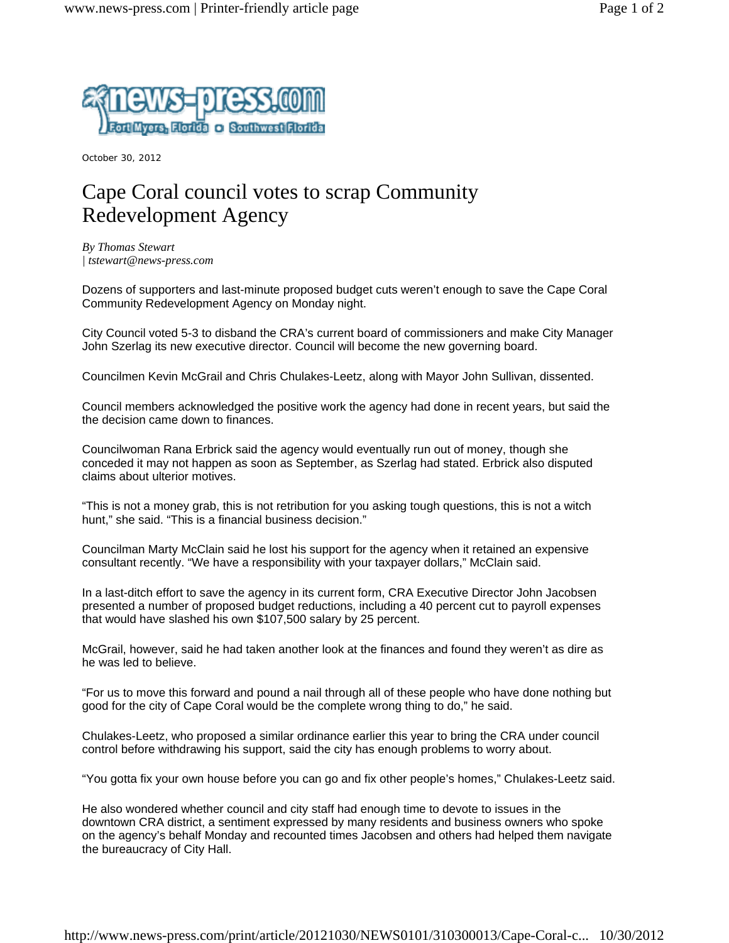

October 30, 2012

## Cape Coral council votes to scrap Community Redevelopment Agency

*By Thomas Stewart | tstewart@news-press.com*

Dozens of supporters and last-minute proposed budget cuts weren't enough to save the Cape Coral Community Redevelopment Agency on Monday night.

City Council voted 5-3 to disband the CRA's current board of commissioners and make City Manager John Szerlag its new executive director. Council will become the new governing board.

Councilmen Kevin McGrail and Chris Chulakes-Leetz, along with Mayor John Sullivan, dissented.

Council members acknowledged the positive work the agency had done in recent years, but said the the decision came down to finances.

Councilwoman Rana Erbrick said the agency would eventually run out of money, though she conceded it may not happen as soon as September, as Szerlag had stated. Erbrick also disputed claims about ulterior motives.

"This is not a money grab, this is not retribution for you asking tough questions, this is not a witch hunt," she said. "This is a financial business decision."

Councilman Marty McClain said he lost his support for the agency when it retained an expensive consultant recently. "We have a responsibility with your taxpayer dollars," McClain said.

In a last-ditch effort to save the agency in its current form, CRA Executive Director John Jacobsen presented a number of proposed budget reductions, including a 40 percent cut to payroll expenses that would have slashed his own \$107,500 salary by 25 percent.

McGrail, however, said he had taken another look at the finances and found they weren't as dire as he was led to believe.

"For us to move this forward and pound a nail through all of these people who have done nothing but good for the city of Cape Coral would be the complete wrong thing to do," he said.

Chulakes-Leetz, who proposed a similar ordinance earlier this year to bring the CRA under council control before withdrawing his support, said the city has enough problems to worry about.

"You gotta fix your own house before you can go and fix other people's homes," Chulakes-Leetz said.

He also wondered whether council and city staff had enough time to devote to issues in the downtown CRA district, a sentiment expressed by many residents and business owners who spoke on the agency's behalf Monday and recounted times Jacobsen and others had helped them navigate the bureaucracy of City Hall.